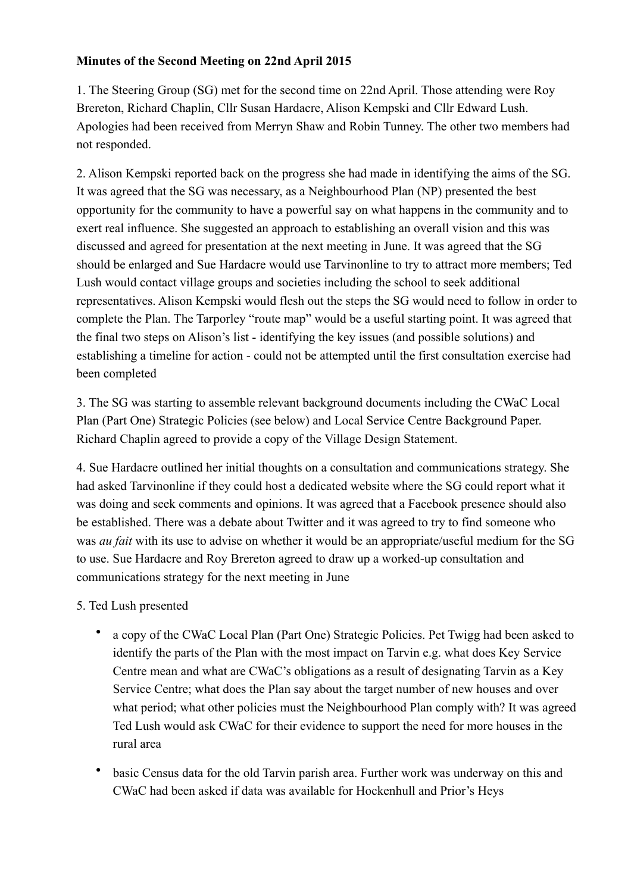## **Minutes of the Second Meeting on 22nd April 2015**

1. The Steering Group (SG) met for the second time on 22nd April. Those attending were Roy Brereton, Richard Chaplin, Cllr Susan Hardacre, Alison Kempski and Cllr Edward Lush. Apologies had been received from Merryn Shaw and Robin Tunney. The other two members had not responded.

2. Alison Kempski reported back on the progress she had made in identifying the aims of the SG. It was agreed that the SG was necessary, as a Neighbourhood Plan (NP) presented the best opportunity for the community to have a powerful say on what happens in the community and to exert real influence. She suggested an approach to establishing an overall vision and this was discussed and agreed for presentation at the next meeting in June. It was agreed that the SG should be enlarged and Sue Hardacre would use Tarvinonline to try to attract more members; Ted Lush would contact village groups and societies including the school to seek additional representatives. Alison Kempski would flesh out the steps the SG would need to follow in order to complete the Plan. The Tarporley "route map" would be a useful starting point. It was agreed that the final two steps on Alison's list - identifying the key issues (and possible solutions) and establishing a timeline for action - could not be attempted until the first consultation exercise had been completed

3. The SG was starting to assemble relevant background documents including the CWaC Local Plan (Part One) Strategic Policies (see below) and Local Service Centre Background Paper. Richard Chaplin agreed to provide a copy of the Village Design Statement.

4. Sue Hardacre outlined her initial thoughts on a consultation and communications strategy. She had asked Tarvinonline if they could host a dedicated website where the SG could report what it was doing and seek comments and opinions. It was agreed that a Facebook presence should also be established. There was a debate about Twitter and it was agreed to try to find someone who was *au fait* with its use to advise on whether it would be an appropriate/useful medium for the SG to use. Sue Hardacre and Roy Brereton agreed to draw up a worked-up consultation and communications strategy for the next meeting in June

## 5. Ted Lush presented

- a copy of the CWaC Local Plan (Part One) Strategic Policies. Pet Twigg had been asked to identify the parts of the Plan with the most impact on Tarvin e.g. what does Key Service Centre mean and what are CWaC's obligations as a result of designating Tarvin as a Key Service Centre; what does the Plan say about the target number of new houses and over what period; what other policies must the Neighbourhood Plan comply with? It was agreed Ted Lush would ask CWaC for their evidence to support the need for more houses in the rural area
- basic Census data for the old Tarvin parish area. Further work was underway on this and CWaC had been asked if data was available for Hockenhull and Prior's Heys